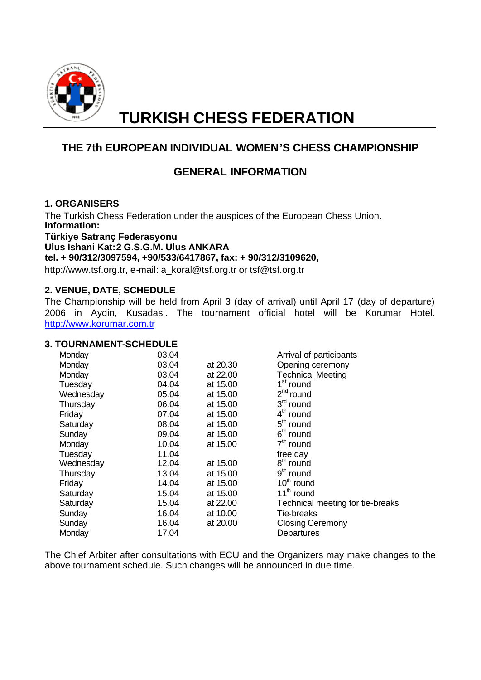

# **TURKISH CHESS FEDERATION**

# **THE 7th EUROPEAN INDIVIDUAL WOMEN'S CHESS CHAMPIONSHIP**

# **GENERAL INFORMATION**

# **1. ORGANISERS**

The Turkish Chess Federation under the auspices of the European Chess Union. **Information:**

# **Türkiye Satranç Federasyonu**

**Ulus Ishani Kat:2 G.S.G.M. Ulus ANKARA**

**tel. + 90/312/3097594, +90/533/6417867, fax: + 90/312/3109620,**

http://www.tsf.org.tr, e-mail: a\_koral@tsf.org.tr or tsf@tsf.org.tr

# **2. VENUE, DATE, SCHEDULE**

The Championship will be held from April 3 (day of arrival) until April 17 (day of departure) 2006 in Aydin, Kusadasi. The tournament official hotel will be Korumar Hotel. http://www.korumar.com.tr

# **3. TOURNAMENT-SCHEDULE**

| Monday    | 03.04 |          | Arrival of participants          |
|-----------|-------|----------|----------------------------------|
| Monday    | 03.04 | at 20.30 | Opening ceremony                 |
| Monday    | 03.04 | at 22.00 | <b>Technical Meeting</b>         |
| Tuesday   | 04.04 | at 15.00 | $1st$ round                      |
| Wednesday | 05.04 | at 15.00 | $2nd$ round                      |
| Thursday  | 06.04 | at 15.00 | $3rd$ round                      |
| Friday    | 07.04 | at 15.00 | $4th$ round                      |
| Saturday  | 08.04 | at 15.00 | $5th$ round                      |
| Sunday    | 09.04 | at 15.00 | $6th$ round                      |
| Monday    | 10.04 | at 15.00 | $7th$ round                      |
| Tuesday   | 11.04 |          | free day                         |
| Wednesday | 12.04 | at 15.00 | 8 <sup>th</sup> round            |
| Thursday  | 13.04 | at 15.00 | $9th$ round                      |
| Friday    | 14.04 | at 15.00 | $10th$ round                     |
| Saturday  | 15.04 | at 15.00 | $11th$ round                     |
| Saturday  | 15.04 | at 22.00 | Technical meeting for tie-breaks |
| Sunday    | 16.04 | at 10.00 | Tie-breaks                       |
| Sunday    | 16.04 | at 20.00 | <b>Closing Ceremony</b>          |
| Monday    | 17.04 |          | Departures                       |

The Chief Arbiter after consultations with ECU and the Organizers may make changes to the above tournament schedule. Such changes will be announced in due time.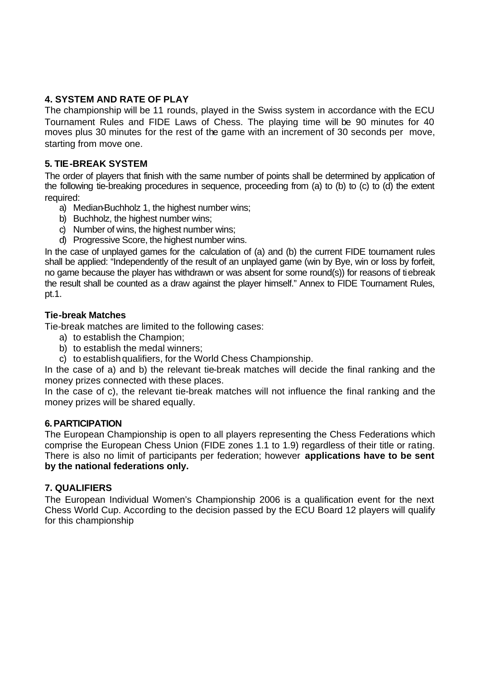# **4. SYSTEM AND RATE OF PLAY**

The championship will be 11 rounds, played in the Swiss system in accordance with the ECU Tournament Rules and FIDE Laws of Chess. The playing time will be 90 minutes for 40 moves plus 30 minutes for the rest of the game with an increment of 30 seconds per move, starting from move one.

# **5. TIE-BREAK SYSTEM**

The order of players that finish with the same number of points shall be determined by application of the following tie-breaking procedures in sequence, proceeding from (a) to (b) to (c) to (d) the extent required:

- a) Median-Buchholz 1, the highest number wins;
- b) Buchholz, the highest number wins;
- c) Number of wins, the highest number wins;
- d) Progressive Score, the highest number wins.

In the case of unplayed games for the calculation of (a) and (b) the current FIDE tournament rules shall be applied: "Independently of the result of an unplayed game (win by Bye, win or loss by forfeit, no game because the player has withdrawn or was absent for some round(s)) for reasons of tiebreak the result shall be counted as a draw against the player himself." Annex to FIDE Tournament Rules, pt.1.

# **Tie-break Matches**

Tie-break matches are limited to the following cases:

- a) to establish the Champion;
- b) to establish the medal winners;
- c) to establish qualifiers, for the World Chess Championship.

In the case of a) and b) the relevant tie-break matches will decide the final ranking and the money prizes connected with these places.

In the case of c), the relevant tie-break matches will not influence the final ranking and the money prizes will be shared equally.

#### **6. PARTICIPATION**

The European Championship is open to all players representing the Chess Federations which comprise the European Chess Union (FIDE zones 1.1 to 1.9) regardless of their title or rating. There is also no limit of participants per federation; however **applications have to be sent by the national federations only.**

# **7. QUALIFIERS**

The European Individual Women's Championship 2006 is a qualification event for the next Chess World Cup. According to the decision passed by the ECU Board 12 players will qualify for this championship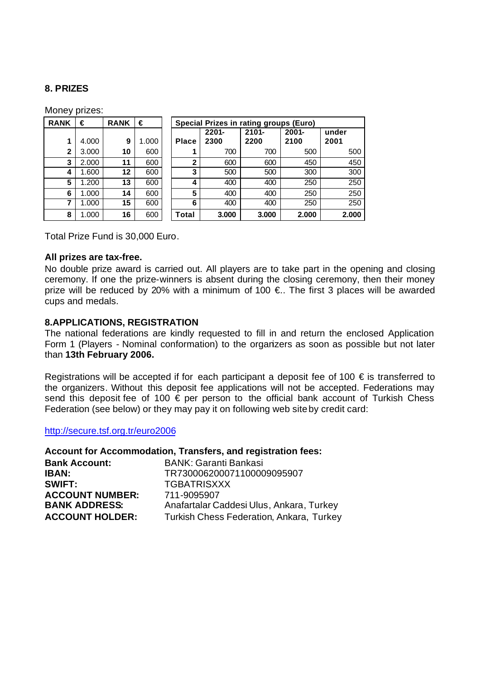# **8. PRIZES**

Money prizes:

| <b>RANK</b> | €     | <b>RANK</b> | €     | Special Prizes in rating groups (Euro) |          |          |          |       |  |
|-------------|-------|-------------|-------|----------------------------------------|----------|----------|----------|-------|--|
|             |       |             |       |                                        | $2201 -$ | $2101 -$ | $2001 -$ | under |  |
| 1           | 4.000 | 9           | 1.000 | <b>Place</b>                           | 2300     | 2200     | 2100     | 2001  |  |
| $\mathbf 2$ | 3.000 | 10          | 600   |                                        | 700      | 700      | 500      | 500   |  |
| 3           | 2.000 | 11          | 600   | $\mathbf{2}$                           | 600      | 600      | 450      | 450   |  |
| 4           | 1.600 | 12          | 600   | 3                                      | 500      | 500      | 300      | 300   |  |
| 5           | 1.200 | 13          | 600   | 4                                      | 400      | 400      | 250      | 250   |  |
| 6           | 1.000 | 14          | 600   | 5                                      | 400      | 400      | 250      | 250   |  |
| 7           | 1.000 | 15          | 600   | 6                                      | 400      | 400      | 250      | 250   |  |
| 8           | 1.000 | 16          | 600   | Total                                  | 3.000    | 3.000    | 2.000    | 2.000 |  |

Total Prize Fund is 30,000 Euro.

#### **All prizes are tax-free.**

No double prize award is carried out. All players are to take part in the opening and closing ceremony. If one the prize-winners is absent during the closing ceremony, then their money prize will be reduced by 20% with a minimum of 100  $\epsilon$ . The first 3 places will be awarded cups and medals.

# **8.APPLICATIONS, REGISTRATION**

The national federations are kindly requested to fill in and return the enclosed Application Form 1 (Players - Nominal conformation) to the organizers as soon as possible but not later than **13th February 2006.**

Registrations will be accepted if for each participant a deposit fee of 100  $\epsilon$  is transferred to the organizers. Without this deposit fee applications will not be accepted. Federations may send this deposit fee of 100  $\epsilon$  per person to the official bank account of Turkish Chess Federation (see below) or they may pay it on following web site by credit card:

http://secure.tsf.org.tr/euro2006

**Account for Accommodation, Transfers, and registration fees: Bank Account:** BANK: Garanti Bankasi **IBAN:** TR730006200071100009095907 **SWIFT:** TGBATRISXXX **ACCOUNT NUMBER:** 711-9095907 **BANK ADDRESS:** Anafartalar Caddesi Ulus, Ankara, Turkey **ACCOUNT HOLDER:** Turkish Chess Federation, Ankara, Turkey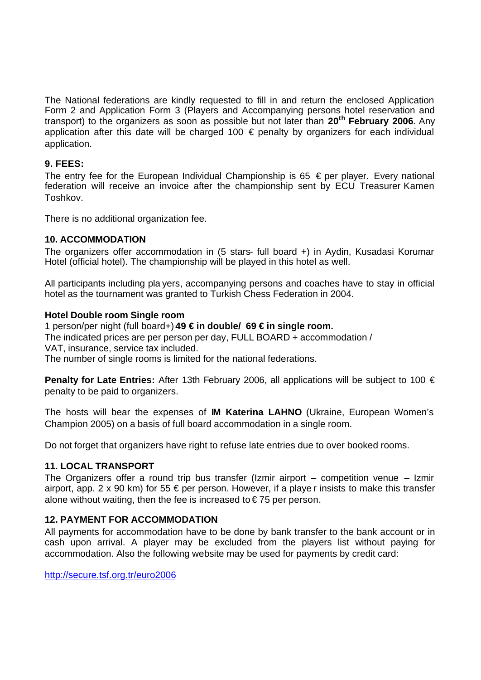The National federations are kindly requested to fill in and return the enclosed Application Form 2 and Application Form 3 (Players and Accompanying persons hotel reservation and transport) to the organizers as soon as possible but not later than **20th February 2006**. Any application after this date will be charged 100  $\epsilon$  penalty by organizers for each individual application.

# **9. FEES:**

The entry fee for the European Individual Championship is 65  $\epsilon$  per player. Every national federation will receive an invoice after the championship sent by ECU Treasurer Kamen Toshkov.

There is no additional organization fee.

# **10. ACCOMMODATION**

The organizers offer accommodation in (5 stars- full board +) in Aydin, Kusadasi Korumar Hotel (official hotel). The championship will be played in this hotel as well.

All participants including pla yers, accompanying persons and coaches have to stay in official hotel as the tournament was granted to Turkish Chess Federation in 2004.

#### **Hotel Double room Single room**

1 person/per night (full board+) **49 € in double/ 69 € in single room.**

The indicated prices are per person per day, FULL BOARD + accommodation /

VAT, insurance, service tax included.

The number of single rooms is limited for the national federations.

Penalty for Late Entries: After 13th February 2006, all applications will be subject to 100 € penalty to be paid to organizers.

The hosts will bear the expenses of I**M Katerina LAHNO** (Ukraine, European Women's Champion 2005) on a basis of full board accommodation in a single room.

Do not forget that organizers have right to refuse late entries due to over booked rooms.

# **11. LOCAL TRANSPORT**

The Organizers offer a round trip bus transfer (Izmir airport – competition venue – Izmir airport, app. 2 x 90 km) for 55  $\epsilon$  per person. However, if a playe r insists to make this transfer alone without waiting, then the fee is increased to  $\epsilon$  75 per person.

# **12. PAYMENT FOR ACCOMMODATION**

All payments for accommodation have to be done by bank transfer to the bank account or in cash upon arrival. A player may be excluded from the players list without paying for accommodation. Also the following website may be used for payments by credit card:

http://secure.tsf.org.tr/euro2006